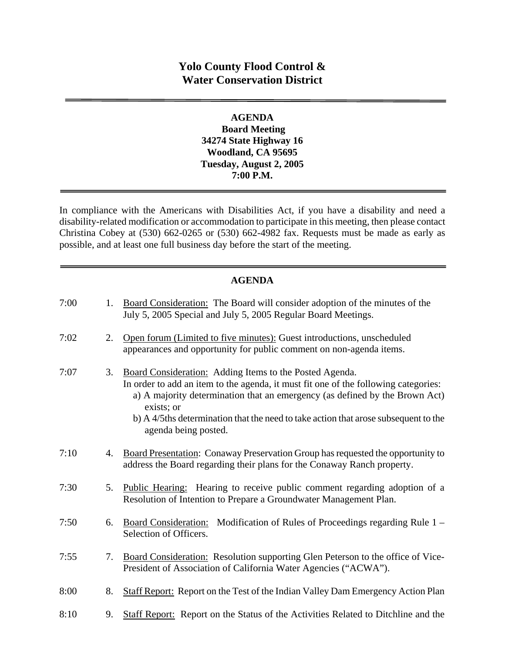# **Yolo County Flood Control & Water Conservation District**

#### **AGENDA Board Meeting 34274 State Highway 16 Woodland, CA 95695 Tuesday, August 2, 2005 7:00 P.M.**

In compliance with the Americans with Disabilities Act, if you have a disability and need a disability-related modification or accommodation to participate in this meeting, then please contact Christina Cobey at (530) 662-0265 or (530) 662-4982 fax. Requests must be made as early as possible, and at least one full business day before the start of the meeting.

### **AGENDA**

| 7:00 | 1. | Board Consideration: The Board will consider adoption of the minutes of the<br>July 5, 2005 Special and July 5, 2005 Regular Board Meetings.                                                                                                                                                                                                               |
|------|----|------------------------------------------------------------------------------------------------------------------------------------------------------------------------------------------------------------------------------------------------------------------------------------------------------------------------------------------------------------|
| 7:02 | 2. | Open forum (Limited to five minutes): Guest introductions, unscheduled<br>appearances and opportunity for public comment on non-agenda items.                                                                                                                                                                                                              |
| 7:07 | 3. | Board Consideration: Adding Items to the Posted Agenda.<br>In order to add an item to the agenda, it must fit one of the following categories:<br>a) A majority determination that an emergency (as defined by the Brown Act)<br>exists; or<br>b) A 4/5ths determination that the need to take action that arose subsequent to the<br>agenda being posted. |
| 7:10 | 4. | Board Presentation: Conaway Preservation Group has requested the opportunity to<br>address the Board regarding their plans for the Conaway Ranch property.                                                                                                                                                                                                 |
| 7:30 | 5. | Public Hearing: Hearing to receive public comment regarding adoption of a<br>Resolution of Intention to Prepare a Groundwater Management Plan.                                                                                                                                                                                                             |
| 7:50 | 6. | Board Consideration: Modification of Rules of Proceedings regarding Rule 1 –<br>Selection of Officers.                                                                                                                                                                                                                                                     |
| 7:55 | 7. | Board Consideration: Resolution supporting Glen Peterson to the office of Vice-<br>President of Association of California Water Agencies ("ACWA").                                                                                                                                                                                                         |
| 8:00 | 8. | Staff Report: Report on the Test of the Indian Valley Dam Emergency Action Plan                                                                                                                                                                                                                                                                            |
| 8:10 | 9. | Staff Report: Report on the Status of the Activities Related to Ditchline and the                                                                                                                                                                                                                                                                          |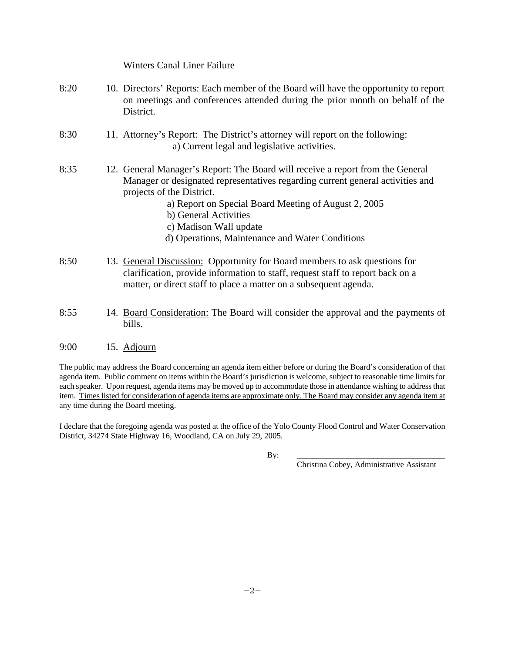|      | <b>Winters Canal Liner Failure</b>                                                                                                                                                                                                                                                                                                                          |
|------|-------------------------------------------------------------------------------------------------------------------------------------------------------------------------------------------------------------------------------------------------------------------------------------------------------------------------------------------------------------|
| 8:20 | 10. Directors' Reports: Each member of the Board will have the opportunity to report<br>on meetings and conferences attended during the prior month on behalf of the<br>District.                                                                                                                                                                           |
| 8:30 | 11. Attorney's Report: The District's attorney will report on the following:<br>a) Current legal and legislative activities.                                                                                                                                                                                                                                |
| 8:35 | 12. General Manager's Report: The Board will receive a report from the General<br>Manager or designated representatives regarding current general activities and<br>projects of the District.<br>a) Report on Special Board Meeting of August 2, 2005<br>b) General Activities<br>c) Madison Wall update<br>d) Operations, Maintenance and Water Conditions |
| 8:50 | 13. General Discussion: Opportunity for Board members to ask questions for<br>clarification, provide information to staff, request staff to report back on a<br>matter, or direct staff to place a matter on a subsequent agenda.                                                                                                                           |

- 8:55 14. Board Consideration: The Board will consider the approval and the payments of bills.
- 9:00 15. Adjourn

The public may address the Board concerning an agenda item either before or during the Board's consideration of that agenda item. Public comment on items within the Board's jurisdiction is welcome, subject to reasonable time limits for each speaker. Upon request, agenda items may be moved up to accommodate those in attendance wishing to address that item. Times listed for consideration of agenda items are approximate only. The Board may consider any agenda item at any time during the Board meeting.

I declare that the foregoing agenda was posted at the office of the Yolo County Flood Control and Water Conservation District, 34274 State Highway 16, Woodland, CA on July 29, 2005.

By: \_\_\_\_\_\_\_\_\_\_\_\_\_\_\_\_\_\_\_\_\_\_\_\_\_\_\_\_\_\_\_\_\_\_\_\_\_

Christina Cobey, Administrative Assistant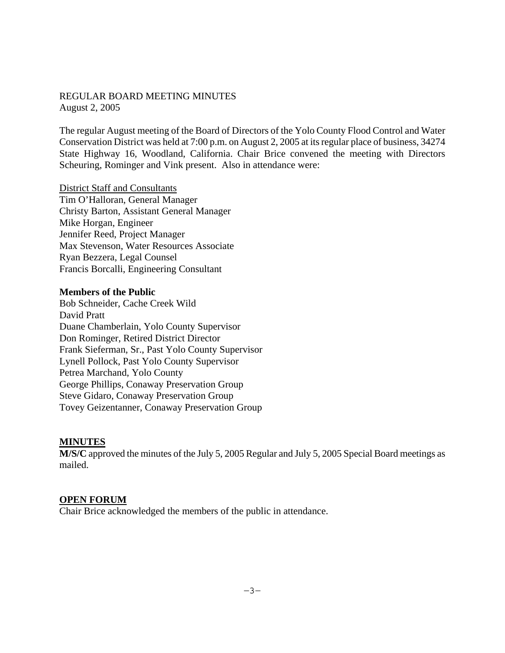#### REGULAR BOARD MEETING MINUTES August 2, 2005

The regular August meeting of the Board of Directors of the Yolo County Flood Control and Water Conservation District was held at 7:00 p.m. on August 2, 2005 at its regular place of business, 34274 State Highway 16, Woodland, California. Chair Brice convened the meeting with Directors Scheuring, Rominger and Vink present. Also in attendance were:

District Staff and Consultants Tim O'Halloran, General Manager Christy Barton, Assistant General Manager Mike Horgan, Engineer Jennifer Reed, Project Manager Max Stevenson, Water Resources Associate Ryan Bezzera, Legal Counsel Francis Borcalli, Engineering Consultant

#### **Members of the Public**

Bob Schneider, Cache Creek Wild David Pratt Duane Chamberlain, Yolo County Supervisor Don Rominger, Retired District Director Frank Sieferman, Sr., Past Yolo County Supervisor Lynell Pollock, Past Yolo County Supervisor Petrea Marchand, Yolo County George Phillips, Conaway Preservation Group Steve Gidaro, Conaway Preservation Group Tovey Geizentanner, Conaway Preservation Group

#### **MINUTES**

**M/S/C** approved the minutes of the July 5, 2005 Regular and July 5, 2005 Special Board meetings as mailed.

#### **OPEN FORUM**

Chair Brice acknowledged the members of the public in attendance.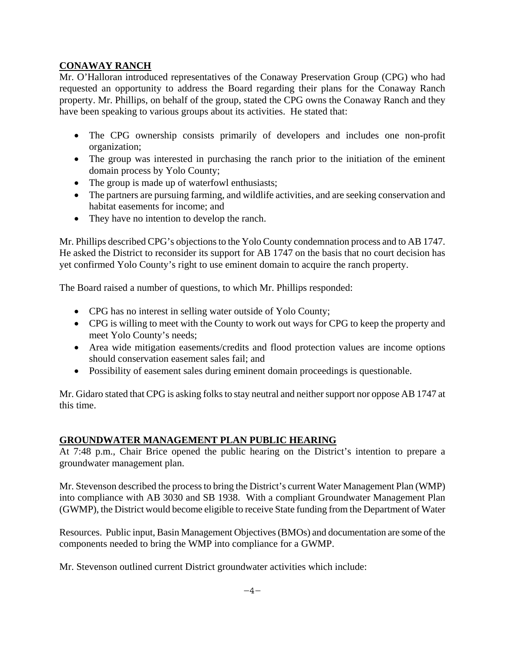# **CONAWAY RANCH**

Mr. O'Halloran introduced representatives of the Conaway Preservation Group (CPG) who had requested an opportunity to address the Board regarding their plans for the Conaway Ranch property. Mr. Phillips, on behalf of the group, stated the CPG owns the Conaway Ranch and they have been speaking to various groups about its activities. He stated that:

- The CPG ownership consists primarily of developers and includes one non-profit organization;
- The group was interested in purchasing the ranch prior to the initiation of the eminent domain process by Yolo County;
- The group is made up of waterfowl enthusiasts;
- The partners are pursuing farming, and wildlife activities, and are seeking conservation and habitat easements for income; and
- They have no intention to develop the ranch.

Mr. Phillips described CPG's objections to the Yolo County condemnation process and to AB 1747. He asked the District to reconsider its support for AB 1747 on the basis that no court decision has yet confirmed Yolo County's right to use eminent domain to acquire the ranch property.

The Board raised a number of questions, to which Mr. Phillips responded:

- CPG has no interest in selling water outside of Yolo County;
- CPG is willing to meet with the County to work out ways for CPG to keep the property and meet Yolo County's needs;
- Area wide mitigation easements/credits and flood protection values are income options should conservation easement sales fail; and
- Possibility of easement sales during eminent domain proceedings is questionable.

Mr. Gidaro stated that CPG is asking folks to stay neutral and neither support nor oppose AB 1747 at this time.

### **GROUNDWATER MANAGEMENT PLAN PUBLIC HEARING**

At 7:48 p.m., Chair Brice opened the public hearing on the District's intention to prepare a groundwater management plan.

Mr. Stevenson described the process to bring the District's current Water Management Plan (WMP) into compliance with AB 3030 and SB 1938. With a compliant Groundwater Management Plan (GWMP), the District would become eligible to receive State funding from the Department of Water

Resources. Public input, Basin Management Objectives (BMOs) and documentation are some of the components needed to bring the WMP into compliance for a GWMP.

Mr. Stevenson outlined current District groundwater activities which include: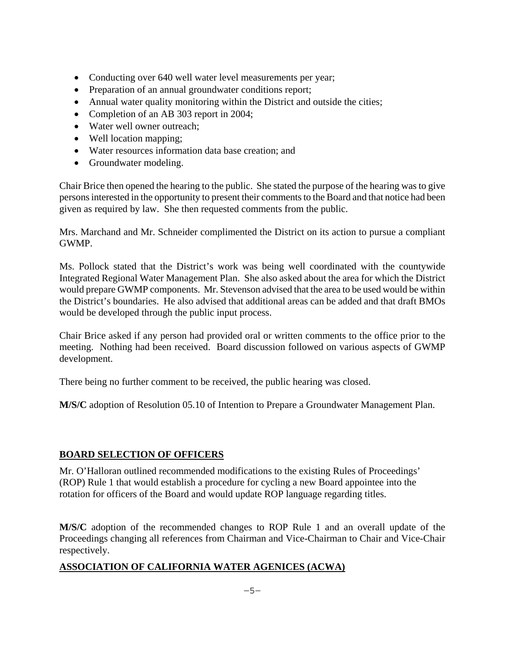- Conducting over 640 well water level measurements per year;
- Preparation of an annual groundwater conditions report;
- Annual water quality monitoring within the District and outside the cities;
- Completion of an AB 303 report in 2004;
- Water well owner outreach:
- Well location mapping;
- Water resources information data base creation; and
- Groundwater modeling.

Chair Brice then opened the hearing to the public. She stated the purpose of the hearing was to give persons interested in the opportunity to present their comments to the Board and that notice had been given as required by law. She then requested comments from the public.

Mrs. Marchand and Mr. Schneider complimented the District on its action to pursue a compliant GWMP.

Ms. Pollock stated that the District's work was being well coordinated with the countywide Integrated Regional Water Management Plan. She also asked about the area for which the District would prepare GWMP components. Mr. Stevenson advised that the area to be used would be within the District's boundaries. He also advised that additional areas can be added and that draft BMOs would be developed through the public input process.

Chair Brice asked if any person had provided oral or written comments to the office prior to the meeting. Nothing had been received. Board discussion followed on various aspects of GWMP development.

There being no further comment to be received, the public hearing was closed.

**M/S/C** adoption of Resolution 05.10 of Intention to Prepare a Groundwater Management Plan.

### **BOARD SELECTION OF OFFICERS**

Mr. O'Halloran outlined recommended modifications to the existing Rules of Proceedings' (ROP) Rule 1 that would establish a procedure for cycling a new Board appointee into the rotation for officers of the Board and would update ROP language regarding titles.

**M/S/C** adoption of the recommended changes to ROP Rule 1 and an overall update of the Proceedings changing all references from Chairman and Vice-Chairman to Chair and Vice-Chair respectively.

# **ASSOCIATION OF CALIFORNIA WATER AGENICES (ACWA)**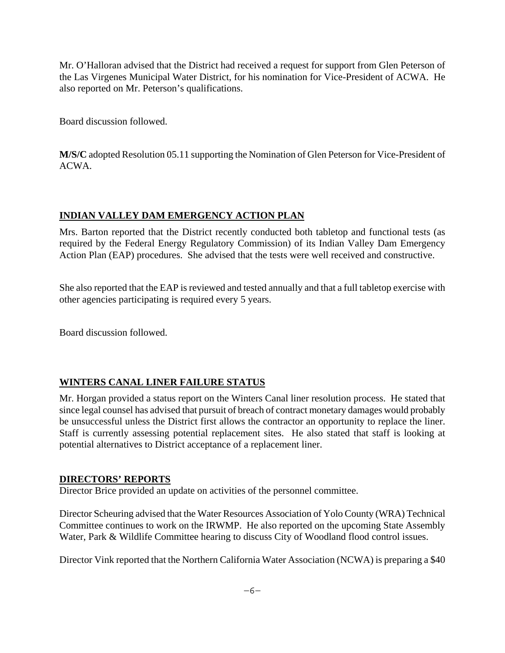Mr. O'Halloran advised that the District had received a request for support from Glen Peterson of the Las Virgenes Municipal Water District, for his nomination for Vice-President of ACWA. He also reported on Mr. Peterson's qualifications.

Board discussion followed.

**M/S/C** adopted Resolution 05.11 supporting the Nomination of Glen Peterson for Vice-President of ACWA.

# **INDIAN VALLEY DAM EMERGENCY ACTION PLAN**

Mrs. Barton reported that the District recently conducted both tabletop and functional tests (as required by the Federal Energy Regulatory Commission) of its Indian Valley Dam Emergency Action Plan (EAP) procedures. She advised that the tests were well received and constructive.

She also reported that the EAP is reviewed and tested annually and that a full tabletop exercise with other agencies participating is required every 5 years.

Board discussion followed.

# **WINTERS CANAL LINER FAILURE STATUS**

Mr. Horgan provided a status report on the Winters Canal liner resolution process. He stated that since legal counsel has advised that pursuit of breach of contract monetary damages would probably be unsuccessful unless the District first allows the contractor an opportunity to replace the liner. Staff is currently assessing potential replacement sites. He also stated that staff is looking at potential alternatives to District acceptance of a replacement liner.

### **DIRECTORS' REPORTS**

Director Brice provided an update on activities of the personnel committee.

Director Scheuring advised that the Water Resources Association of Yolo County (WRA) Technical Committee continues to work on the IRWMP. He also reported on the upcoming State Assembly Water, Park & Wildlife Committee hearing to discuss City of Woodland flood control issues.

Director Vink reported that the Northern California Water Association (NCWA) is preparing a \$40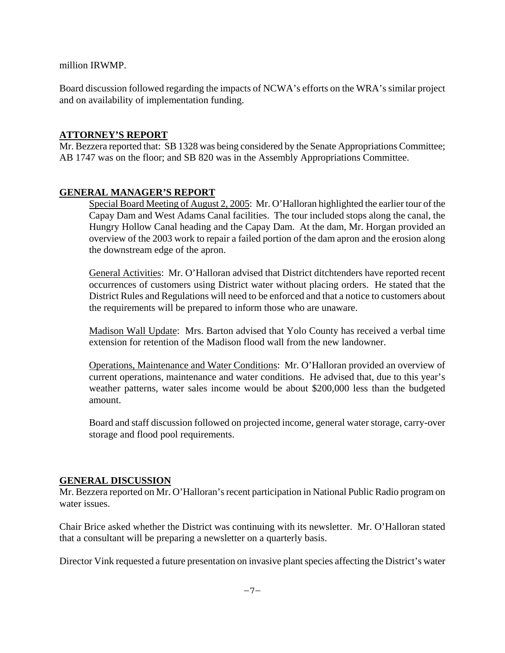million IRWMP.

Board discussion followed regarding the impacts of NCWA's efforts on the WRA's similar project and on availability of implementation funding.

### **ATTORNEY'S REPORT**

Mr. Bezzera reported that: SB 1328 was being considered by the Senate Appropriations Committee; AB 1747 was on the floor; and SB 820 was in the Assembly Appropriations Committee.

# **GENERAL MANAGER'S REPORT**

Special Board Meeting of August 2, 2005: Mr. O'Halloran highlighted the earlier tour of the Capay Dam and West Adams Canal facilities. The tour included stops along the canal, the Hungry Hollow Canal heading and the Capay Dam. At the dam, Mr. Horgan provided an overview of the 2003 work to repair a failed portion of the dam apron and the erosion along the downstream edge of the apron.

General Activities: Mr. O'Halloran advised that District ditchtenders have reported recent occurrences of customers using District water without placing orders. He stated that the District Rules and Regulations will need to be enforced and that a notice to customers about the requirements will be prepared to inform those who are unaware.

Madison Wall Update: Mrs. Barton advised that Yolo County has received a verbal time extension for retention of the Madison flood wall from the new landowner.

Operations, Maintenance and Water Conditions: Mr. O'Halloran provided an overview of current operations, maintenance and water conditions. He advised that, due to this year's weather patterns, water sales income would be about \$200,000 less than the budgeted amount.

Board and staff discussion followed on projected income, general water storage, carry-over storage and flood pool requirements.

### **GENERAL DISCUSSION**

Mr. Bezzera reported on Mr. O'Halloran's recent participation in National Public Radio program on water issues.

Chair Brice asked whether the District was continuing with its newsletter. Mr. O'Halloran stated that a consultant will be preparing a newsletter on a quarterly basis.

Director Vink requested a future presentation on invasive plant species affecting the District's water